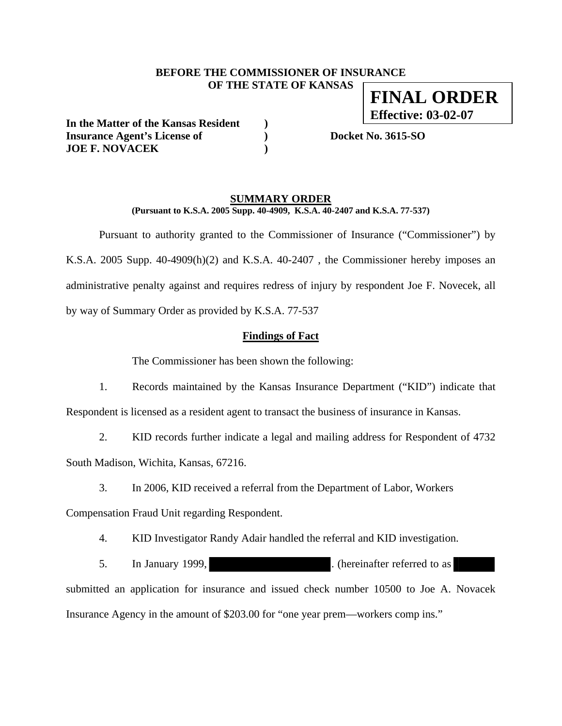## **BEFORE THE COMMISSIONER OF INSURANCE OF THE STATE OF KANSAS FINAL ORDER**

**In the Matter of the Kansas Resident ) Insurance Agent's License of ) Docket No. 3615-SO JOE F. NOVACEK )** 

**Effective: 03-02-07**

## **SUMMARY ORDER**

**(Pursuant to K.S.A. 2005 Supp. 40-4909, K.S.A. 40-2407 and K.S.A. 77-537)** 

 Pursuant to authority granted to the Commissioner of Insurance ("Commissioner") by K.S.A. 2005 Supp. 40-4909(h)(2) and K.S.A. 40-2407 , the Commissioner hereby imposes an administrative penalty against and requires redress of injury by respondent Joe F. Novecek, all by way of Summary Order as provided by K.S.A. 77-537

### **Findings of Fact**

The Commissioner has been shown the following:

1. Records maintained by the Kansas Insurance Department ("KID") indicate that Respondent is licensed as a resident agent to transact the business of insurance in Kansas.

2. KID records further indicate a legal and mailing address for Respondent of 4732

South Madison, Wichita, Kansas, 67216.

3. In 2006, KID received a referral from the Department of Labor, Workers

Compensation Fraud Unit regarding Respondent.

4. KID Investigator Randy Adair handled the referral and KID investigation.

5. In January 1999, the same state of the contractor of the Indian state of the Indian state of the Indian state of the Indian state of the Indian state of the Indian state of the Indian state of the Indian state of the In submitted an application for insurance and issued check number 10500 to Joe A. Novacek Insurance Agency in the amount of \$203.00 for "one year prem—workers comp ins."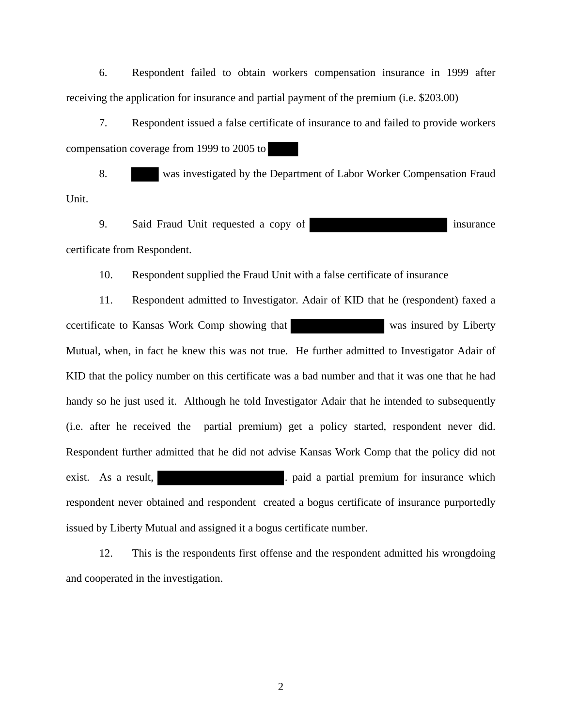6. Respondent failed to obtain workers compensation insurance in 1999 after receiving the application for insurance and partial payment of the premium (i.e. \$203.00)

7. Respondent issued a false certificate of insurance to and failed to provide workers compensation coverage from 1999 to 2005 to

8. was investigated by the Department of Labor Worker Compensation Fraud Unit.

9. Said Fraud Unit requested a copy of state insurance certificate from Respondent.

10. Respondent supplied the Fraud Unit with a false certificate of insurance

11. Respondent admitted to Investigator. Adair of KID that he (respondent) faxed a ccertificate to Kansas Work Comp showing that was insured by Liberty Mutual, when, in fact he knew this was not true. He further admitted to Investigator Adair of KID that the policy number on this certificate was a bad number and that it was one that he had handy so he just used it. Although he told Investigator Adair that he intended to subsequently (i.e. after he received the partial premium) get a policy started, respondent never did. Respondent further admitted that he did not advise Kansas Work Comp that the policy did not exist. As a result,  $\qquad \qquad$  . paid a partial premium for insurance which respondent never obtained and respondent created a bogus certificate of insurance purportedly issued by Liberty Mutual and assigned it a bogus certificate number.

12. This is the respondents first offense and the respondent admitted his wrongdoing and cooperated in the investigation.

2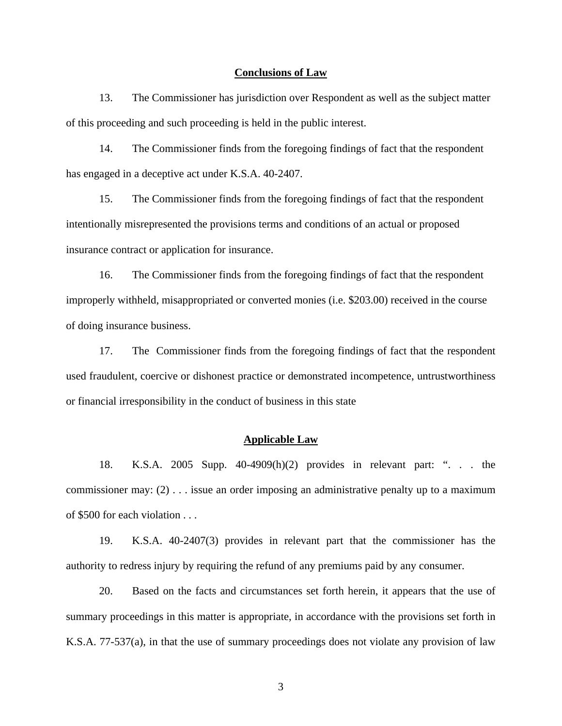#### **Conclusions of Law**

13. The Commissioner has jurisdiction over Respondent as well as the subject matter of this proceeding and such proceeding is held in the public interest.

14. The Commissioner finds from the foregoing findings of fact that the respondent has engaged in a deceptive act under K.S.A. 40-2407.

15. The Commissioner finds from the foregoing findings of fact that the respondent intentionally misrepresented the provisions terms and conditions of an actual or proposed insurance contract or application for insurance.

16. The Commissioner finds from the foregoing findings of fact that the respondent improperly withheld, misappropriated or converted monies (i.e. \$203.00) received in the course of doing insurance business.

17. The Commissioner finds from the foregoing findings of fact that the respondent used fraudulent, coercive or dishonest practice or demonstrated incompetence, untrustworthiness or financial irresponsibility in the conduct of business in this state

### **Applicable Law**

18. K.S.A. 2005 Supp. 40-4909(h)(2) provides in relevant part: ". . . the commissioner may: (2) . . . issue an order imposing an administrative penalty up to a maximum of \$500 for each violation . . .

19. K.S.A. 40-2407(3) provides in relevant part that the commissioner has the authority to redress injury by requiring the refund of any premiums paid by any consumer.

20. Based on the facts and circumstances set forth herein, it appears that the use of summary proceedings in this matter is appropriate, in accordance with the provisions set forth in K.S.A. 77-537(a), in that the use of summary proceedings does not violate any provision of law

3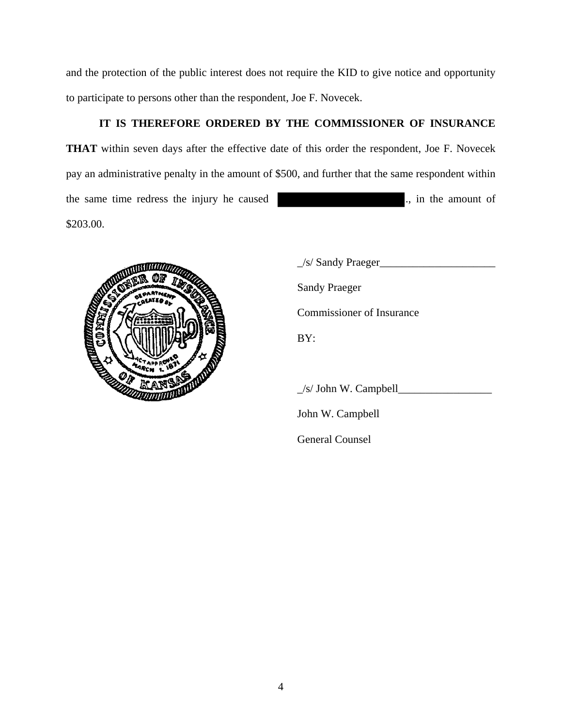and the protection of the public interest does not require the KID to give notice and opportunity to participate to persons other than the respondent, Joe F. Novecek.

# **IT IS THEREFORE ORDERED BY THE COMMISSIONER OF INSURANCE**

**THAT** within seven days after the effective date of this order the respondent, Joe F. Novecek pay an administrative penalty in the amount of \$500, and further that the same respondent within the same time redress the injury he caused ., in the amount of \$203.00.



\_/s/ Sandy Praeger\_\_\_\_\_\_\_\_\_\_\_\_\_\_\_\_\_\_\_\_\_ Sandy Praeger Commissioner of Insurance

\_/s/ John W. Campbell\_\_\_\_\_\_\_\_\_\_\_\_\_\_\_\_\_

John W. Campbell

**General Counsel**